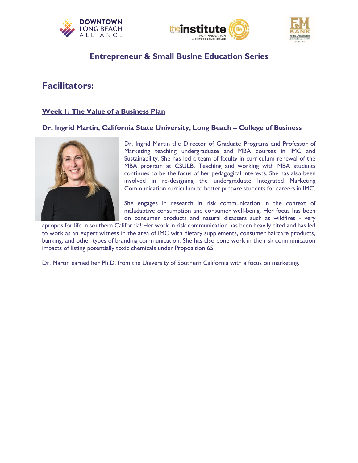





# **Entrepreneur & Small Busine Education Series**

# **Facilitators:**

# **Week 1: The Value of a Business Plan**

## **Dr. Ingrid Martin, California State University, Long Beach – College of Business**



Dr. Ingrid Martin the Director of Graduate Programs and Professor of Marketing teaching undergraduate and MBA courses in IMC and Sustainability. She has led a team of faculty in curriculum renewal of the MBA program at CSULB. Teaching and working with MBA students continues to be the focus of her pedagogical interests. She has also been involved in re-designing the undergraduate Integrated Marketing Communication curriculum to better prepare students for careers in IMC.

She engages in research in risk communication in the context of maladaptive consumption and consumer well-being. Her focus has been on consumer products and natural disasters such as wildfires - very

apropos for life in southern California! Her work in risk communication has been heavily cited and has led to work as an expert witness in the area of IMC with dietary supplements, consumer haircare products, banking, and other types of branding communication. She has also done work in the risk communication impacts of listing potentially toxic chemicals under Proposition 65.

Dr. Martin earned her Ph.D. from the University of Southern California with a focus on marketing.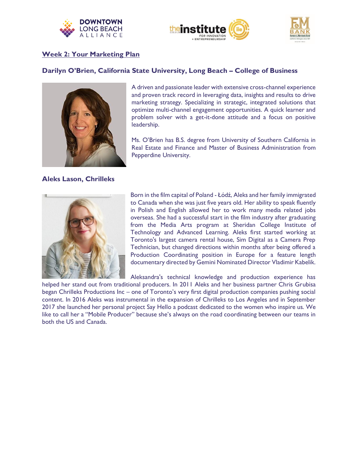





## **Week 2: Your Marketing Plan**

## **Darilyn O'Brien, California State University, Long Beach – College of Business**



A driven and passionate leader with extensive cross-channel experience and proven track record in leveraging data, insights and results to drive marketing strategy. Specializing in strategic, integrated solutions that optimize multi-channel engagement opportunities. A quick learner and problem solver with a get-it-done attitude and a focus on positive leadership.

Ms. O'Brien has B.S. degree from University of Southern California in Real Estate and Finance and Master of Business Administration from Pepperdine University.

### **Aleks Lason, Chrilleks**



Born in the film capital of Poland - Łódź, Aleks and her family immigrated to Canada when she was just five years old. Her ability to speak fluently in Polish and English allowed her to work many media related jobs overseas. She had a successful start in the film industry after graduating from the Media Arts program at Sheridan College Institute of Technology and Advanced Learning. Aleks first started working at Toronto's largest camera rental house, Sim Digital as a Camera Prep Technician, but changed directions within months after being offered a Production Coordinating position in Europe for a feature length documentary directed by Gemini Nominated Director Vladimir Kabelik.

Aleksandra's technical knowledge and production experience has

helped her stand out from traditional producers. In 2011 Aleks and her business partner Chris Grubisa began Chrilleks Productions Inc – one of Toronto's very first digital production companies pushing social content. In 2016 Aleks was instrumental in the expansion of Chrilleks to Los Angeles and in September 2017 she launched her personal project Say Hello a podcast dedicated to the women who inspire us. We like to call her a "Mobile Producer" because she's always on the road coordinating between our teams in both the US and Canada.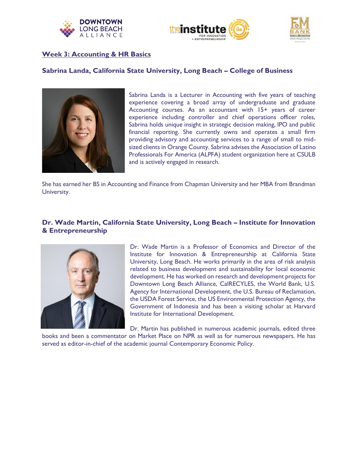





## **Week 3: Accounting & HR Basics**

## **Sabrina Landa, California State University, Long Beach – College of Business**



Sabrina Landa is a Lecturer in Accounting with five years of teaching experience covering a broad array of undergraduate and graduate Accounting courses. As an accountant with 15+ years of career experience including controller and chief operations officer roles, Sabrina holds unique insight in strategic decision making, IPO and public financial reporting. She currently owns and operates a small firm providing advisory and accounting services to a range of small to midsized clients in Orange County. Sabrina advises the Association of Latino Professionals For America (ALPFA) student organization here at CSULB and is actively engaged in research.

She has earned her BS in Accounting and Finance from Chapman University and her MBA from Brandman University.

## **Dr. Wade Martin, California State University, Long Beach – Institute for Innovation & Entrepreneurship**



Dr. Wade Martin is a Professor of Economics and Director of the Institute for Innovation & Entrepreneurship at California State University, Long Beach. He works primarily in the area of risk analysis related to business development and sustainability for local economic development. He has worked on research and development projects for Downtown Long Beach Alliance, CalRECYLES, the World Bank, U.S. Agency for International Development, the U.S. Bureau of Reclamation, the USDA Forest Service, the US Environmental Protection Agency, the Government of Indonesia and has been a visiting scholar at Harvard Institute for International Development.

Dr. Martin has published in numerous academic journals, edited three

books and been a commentator on Market Place on NPR as well as for numerous newspapers. He has served as editor-in-chief of the academic journal Contemporary Economic Policy.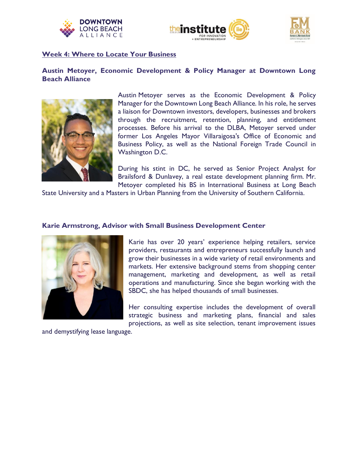





### **Week 4: Where to Locate Your Business**

# **Austin Metoyer, Economic Development & Policy Manager at Downtown Long Beach Alliance**



Austin Metoyer serves as the Economic Development & Policy Manager for the Downtown Long Beach Alliance. In his role, he serves a liaison for Downtown investors, developers, businesses and brokers through the recruitment, retention, planning, and entitlement processes. Before his arrival to the DLBA, Metoyer served under former Los Angeles Mayor Villaraigosa's Office of Economic and Business Policy, as well as the National Foreign Trade Council in Washington D.C.

During his stint in DC, he served as Senior Project Analyst for Brailsford & Dunlavey, a real estate development planning firm. Mr. Metoyer completed his BS in International Business at Long Beach

State University and a Masters in Urban Planning from the University of Southern California.

## **Karie Armstrong, Advisor with Small Business Development Center**



Karie has over 20 years' experience helping retailers, service providers, restaurants and entrepreneurs successfully launch and grow their businesses in a wide variety of retail environments and markets. Her extensive background stems from shopping center management, marketing and development, as well as retail operations and manufacturing. Since she began working with the SBDC, she has helped thousands of small businesses.

Her consulting expertise includes the development of overall strategic business and marketing plans, financial and sales projections, as well as site selection, tenant improvement issues

and demystifying lease language.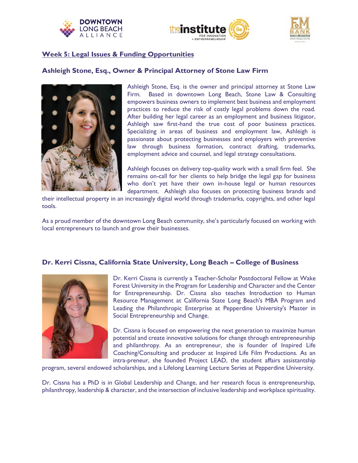





## **Week 5: Legal Issues & Funding Opportunities**

## **Ashleigh Stone, Esq., Owner & Principal Attorney of Stone Law Firm**



Ashleigh Stone, Esq. is the owner and principal attorney at Stone Law Firm. Based in downtown Long Beach, Stone Law & Consulting empowers business owners to implement best business and employment practices to reduce the risk of costly legal problems down the road. After building her legal career as an employment and business litigator, Ashleigh saw first-hand the true cost of poor business practices. Specializing in areas of business and employment law, Ashleigh is passionate about protecting businesses and employers with preventive law through business formation, contract drafting, trademarks, employment advice and counsel, and legal strategy consultations.

Ashleigh focuses on delivery top-quality work with a small firm feel. She remains on-call for her clients to help bridge the legal gap for business who don't yet have their own in-house legal or human resources department. Ashleigh also focuses on protecting business brands and

their intellectual property in an increasingly digital world through trademarks, copyrights, and other legal tools.

As a proud member of the downtown Long Beach community, she's particularly focused on working with local entrepreneurs to launch and grow their businesses.

## **Dr. Kerri Cissna, California State University, Long Beach – College of Business**



Dr. Kerri Cissna is currently a Teacher-Scholar Postdoctoral Fellow at Wake Forest University in the Program for Leadership and Character and the Center for Entrepreneurship. Dr. Cissna also teaches Introduction to Human Resource Management at California State Long Beach's MBA Program and Leading the Philanthropic Enterprise at Pepperdine University's Master in Social Entrepreneurship and Change.

Dr. Cissna is focused on empowering the next generation to maximize human potential and create innovative solutions for change through entrepreneurship and philanthropy. As an entrepreneur, she is founder of Inspired Life Coaching/Consulting and producer at Inspired Life Film Productions. As an intra-preneur, she founded Project LEAD, the student affairs assistantship

program, several endowed scholarships, and a Lifelong Learning Lecture Series at Pepperdine University.

Dr. Cissna has a PhD is in Global Leadership and Change, and her research focus is entrepreneurship, philanthropy, leadership & character, and the intersection of inclusive leadership and workplace spirituality.